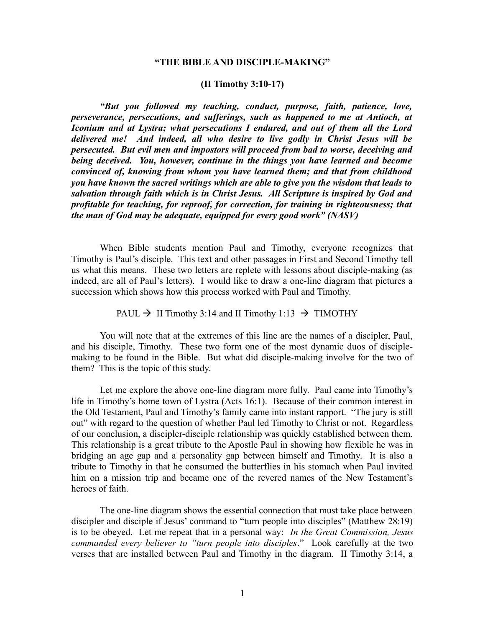### **"THE BIBLE AND DISCIPLE-MAKING"**

#### **(II Timothy 3:10-17)**

*"But you followed my teaching, conduct, purpose, faith, patience, love, perseverance, persecutions, and sufferings, such as happened to me at Antioch, at Iconium and at Lystra; what persecutions I endured, and out of them all the Lord delivered me! And indeed, all who desire to live godly in Christ Jesus will be persecuted. But evil men and impostors will proceed from bad to worse, deceiving and being deceived. You, however, continue in the things you have learned and become convinced of, knowing from whom you have learned them; and that from childhood you have known the sacred writings which are able to give you the wisdom that leads to salvation through faith which is in Christ Jesus. All Scripture is inspired by God and profitable for teaching, for reproof, for correction, for training in righteousness; that the man of God may be adequate, equipped for every good work" (NASV)* 

When Bible students mention Paul and Timothy, everyone recognizes that Timothy is Paul's disciple. This text and other passages in First and Second Timothy tell us what this means. These two letters are replete with lessons about disciple-making (as indeed, are all of Paul's letters). I would like to draw a one-line diagram that pictures a succession which shows how this process worked with Paul and Timothy.

### PAUL  $\rightarrow$  II Timothy 3:14 and II Timothy 1:13  $\rightarrow$  TIMOTHY

You will note that at the extremes of this line are the names of a discipler, Paul, and his disciple, Timothy. These two form one of the most dynamic duos of disciplemaking to be found in the Bible. But what did disciple-making involve for the two of them? This is the topic of this study.

Let me explore the above one-line diagram more fully. Paul came into Timothy's life in Timothy's home town of Lystra (Acts 16:1). Because of their common interest in the Old Testament, Paul and Timothy's family came into instant rapport. "The jury is still out" with regard to the question of whether Paul led Timothy to Christ or not. Regardless of our conclusion, a discipler-disciple relationship was quickly established between them. This relationship is a great tribute to the Apostle Paul in showing how flexible he was in bridging an age gap and a personality gap between himself and Timothy. It is also a tribute to Timothy in that he consumed the butterflies in his stomach when Paul invited him on a mission trip and became one of the revered names of the New Testament's heroes of faith.

The one-line diagram shows the essential connection that must take place between discipler and disciple if Jesus' command to "turn people into disciples" (Matthew 28:19) is to be obeyed. Let me repeat that in a personal way: *In the Great Commission, Jesus commanded every believer to "turn people into disciples*." Look carefully at the two verses that are installed between Paul and Timothy in the diagram. II Timothy 3:14, a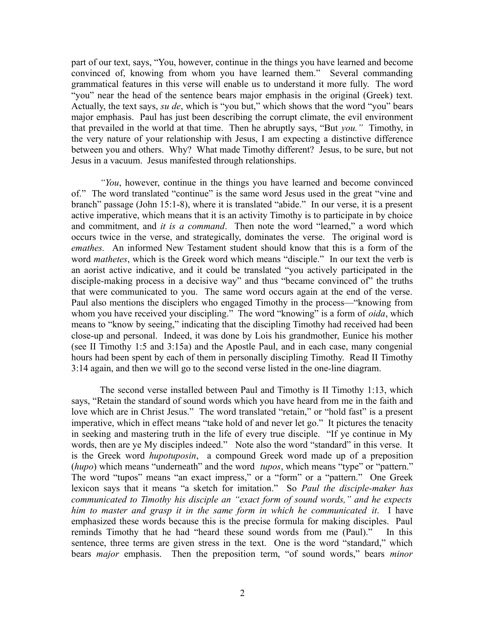part of our text, says, "You, however, continue in the things you have learned and become convinced of, knowing from whom you have learned them." Several commanding grammatical features in this verse will enable us to understand it more fully. The word "you" near the head of the sentence bears major emphasis in the original (Greek) text. Actually, the text says, *su de*, which is "you but," which shows that the word "you" bears major emphasis. Paul has just been describing the corrupt climate, the evil environment that prevailed in the world at that time. Then he abruptly says, "But *you."* Timothy, in the very nature of your relationship with Jesus, I am expecting a distinctive difference between you and others. Why? What made Timothy different? Jesus, to be sure, but not Jesus in a vacuum. Jesus manifested through relationships.

*"You*, however, continue in the things you have learned and become convinced of." The word translated "continue" is the same word Jesus used in the great "vine and branch" passage (John 15:1-8), where it is translated "abide." In our verse, it is a present active imperative, which means that it is an activity Timothy is to participate in by choice and commitment, and *it is a command*. Then note the word "learned," a word which occurs twice in the verse, and strategically, dominates the verse. The original word is *emathes.* An informed New Testament student should know that this is a form of the word *mathetes*, which is the Greek word which means "disciple." In our text the verb is an aorist active indicative, and it could be translated "you actively participated in the disciple-making process in a decisive way" and thus "became convinced of" the truths that were communicated to you. The same word occurs again at the end of the verse. Paul also mentions the disciplers who engaged Timothy in the process—"knowing from whom you have received your discipling." The word "knowing" is a form of *oida*, which means to "know by seeing," indicating that the discipling Timothy had received had been close-up and personal. Indeed, it was done by Lois his grandmother, Eunice his mother (see II Timothy 1:5 and 3:15a) and the Apostle Paul, and in each case, many congenial hours had been spent by each of them in personally discipling Timothy. Read II Timothy 3:14 again, and then we will go to the second verse listed in the one-line diagram.

The second verse installed between Paul and Timothy is II Timothy 1:13, which says, "Retain the standard of sound words which you have heard from me in the faith and love which are in Christ Jesus." The word translated "retain," or "hold fast" is a present imperative, which in effect means "take hold of and never let go." It pictures the tenacity in seeking and mastering truth in the life of every true disciple. "If ye continue in My words, then are ye My disciples indeed." Note also the word "standard" in this verse. It is the Greek word *hupotuposin*, a compound Greek word made up of a preposition (*hupo*) which means "underneath" and the word *tupos*, which means "type" or "pattern." The word "tupos" means "an exact impress," or a "form" or a "pattern." One Greek lexicon says that it means "a sketch for imitation." So *Paul the disciple-maker has communicated to Timothy his disciple an "exact form of sound words," and he expects him to master and grasp it in the same form in which he communicated it*. I have emphasized these words because this is the precise formula for making disciples. Paul reminds Timothy that he had "heard these sound words from me (Paul)." In this sentence, three terms are given stress in the text. One is the word "standard," which bears *major* emphasis. Then the preposition term, "of sound words," bears *minor*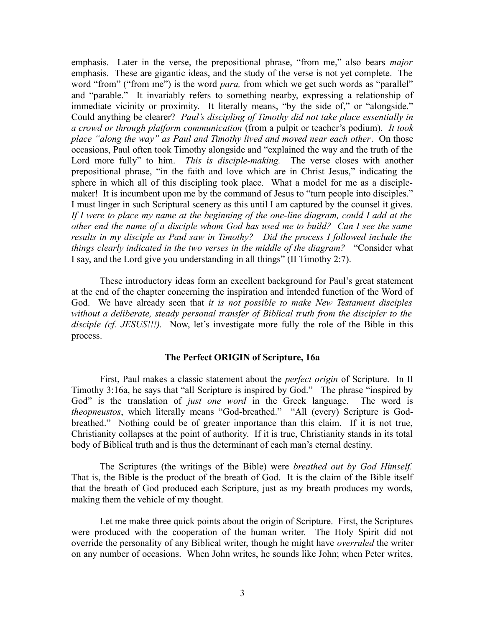emphasis. Later in the verse, the prepositional phrase, "from me," also bears *major* emphasis. These are gigantic ideas, and the study of the verse is not yet complete. The word "from" ("from me") is the word *para*, from which we get such words as "parallel" and "parable." It invariably refers to something nearby, expressing a relationship of immediate vicinity or proximity. It literally means, "by the side of," or "alongside." Could anything be clearer? *Paul's discipling of Timothy did not take place essentially in a crowd or through platform communication* (from a pulpit or teacher's podium). *It took place "along the way" as Paul and Timothy lived and moved near each other*. On those occasions, Paul often took Timothy alongside and "explained the way and the truth of the Lord more fully" to him. *This is disciple-making*. The verse closes with another prepositional phrase, "in the faith and love which are in Christ Jesus," indicating the sphere in which all of this discipling took place. What a model for me as a disciplemaker! It is incumbent upon me by the command of Jesus to "turn people into disciples." I must linger in such Scriptural scenery as this until I am captured by the counsel it gives. *If I were to place my name at the beginning of the one-line diagram, could I add at the other end the name of a disciple whom God has used me to build? Can I see the same results in my disciple as Paul saw in Timothy? Did the process I followed include the things clearly indicated in the two verses in the middle of the diagram?* "Consider what I say, and the Lord give you understanding in all things" (II Timothy 2:7).

These introductory ideas form an excellent background for Paul's great statement at the end of the chapter concerning the inspiration and intended function of the Word of God. We have already seen that *it is not possible to make New Testament disciples without a deliberate, steady personal transfer of Biblical truth from the discipler to the disciple (cf. JESUS!!!).* Now, let's investigate more fully the role of the Bible in this process.

### **The Perfect ORIGIN of Scripture, 16a**

First, Paul makes a classic statement about the *perfect origin* of Scripture. In II Timothy 3:16a, he says that "all Scripture is inspired by God." The phrase "inspired by God" is the translation of *just one word* in the Greek language. The word is *theopneustos*, which literally means "God-breathed." "All (every) Scripture is Godbreathed." Nothing could be of greater importance than this claim. If it is not true, Christianity collapses at the point of authority. If it is true, Christianity stands in its total body of Biblical truth and is thus the determinant of each man's eternal destiny.

The Scriptures (the writings of the Bible) were *breathed out by God Himself.* That is, the Bible is the product of the breath of God. It is the claim of the Bible itself that the breath of God produced each Scripture, just as my breath produces my words, making them the vehicle of my thought.

Let me make three quick points about the origin of Scripture. First, the Scriptures were produced with the cooperation of the human writer. The Holy Spirit did not override the personality of any Biblical writer, though he might have *overruled* the writer on any number of occasions. When John writes, he sounds like John; when Peter writes,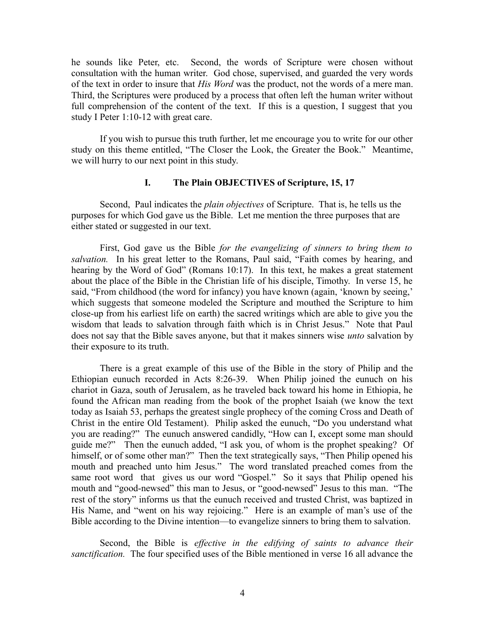he sounds like Peter, etc. Second, the words of Scripture were chosen without consultation with the human writer. God chose, supervised, and guarded the very words of the text in order to insure that *His Word* was the product, not the words of a mere man. Third, the Scriptures were produced by a process that often left the human writer without full comprehension of the content of the text. If this is a question, I suggest that you study I Peter 1:10-12 with great care.

If you wish to pursue this truth further, let me encourage you to write for our other study on this theme entitled, "The Closer the Look, the Greater the Book." Meantime, we will hurry to our next point in this study.

# **I. The Plain OBJECTIVES of Scripture, 15, 17**

Second, Paul indicates the *plain objectives* of Scripture. That is, he tells us the purposes for which God gave us the Bible. Let me mention the three purposes that are either stated or suggested in our text.

First, God gave us the Bible *for the evangelizing of sinners to bring them to salvation.* In his great letter to the Romans, Paul said, "Faith comes by hearing, and hearing by the Word of God" (Romans 10:17). In this text, he makes a great statement about the place of the Bible in the Christian life of his disciple, Timothy. In verse 15, he said, "From childhood (the word for infancy) you have known (again, 'known by seeing,' which suggests that someone modeled the Scripture and mouthed the Scripture to him close-up from his earliest life on earth) the sacred writings which are able to give you the wisdom that leads to salvation through faith which is in Christ Jesus." Note that Paul does not say that the Bible saves anyone, but that it makes sinners wise *unto* salvation by their exposure to its truth.

There is a great example of this use of the Bible in the story of Philip and the Ethiopian eunuch recorded in Acts 8:26-39. When Philip joined the eunuch on his chariot in Gaza, south of Jerusalem, as he traveled back toward his home in Ethiopia, he found the African man reading from the book of the prophet Isaiah (we know the text today as Isaiah 53, perhaps the greatest single prophecy of the coming Cross and Death of Christ in the entire Old Testament). Philip asked the eunuch, "Do you understand what you are reading?" The eunuch answered candidly, "How can I, except some man should guide me?" Then the eunuch added, "I ask you, of whom is the prophet speaking? Of himself, or of some other man?" Then the text strategically says, "Then Philip opened his mouth and preached unto him Jesus." The word translated preached comes from the same root word that gives us our word "Gospel." So it says that Philip opened his mouth and "good-newsed" this man to Jesus, or "good-newsed" Jesus to this man. "The rest of the story" informs us that the eunuch received and trusted Christ, was baptized in His Name, and "went on his way rejoicing." Here is an example of man's use of the Bible according to the Divine intention—to evangelize sinners to bring them to salvation.

Second, the Bible is *effective in the edifying of saints to advance their sanctification.* The four specified uses of the Bible mentioned in verse 16 all advance the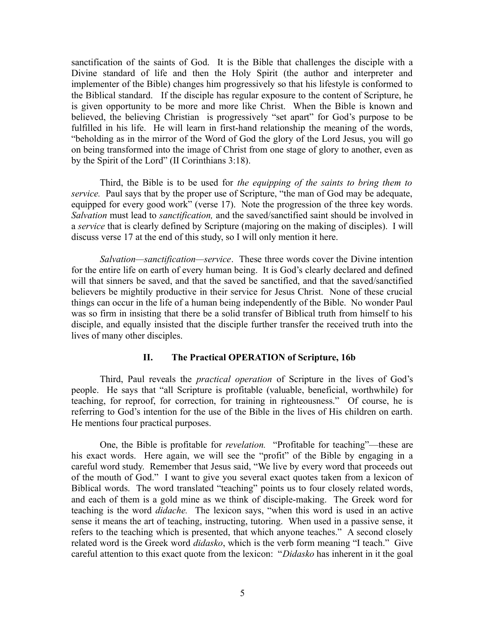sanctification of the saints of God. It is the Bible that challenges the disciple with a Divine standard of life and then the Holy Spirit (the author and interpreter and implementer of the Bible) changes him progressively so that his lifestyle is conformed to the Biblical standard. If the disciple has regular exposure to the content of Scripture, he is given opportunity to be more and more like Christ. When the Bible is known and believed, the believing Christian is progressively "set apart" for God's purpose to be fulfilled in his life. He will learn in first-hand relationship the meaning of the words, "beholding as in the mirror of the Word of God the glory of the Lord Jesus, you will go on being transformed into the image of Christ from one stage of glory to another, even as by the Spirit of the Lord" (II Corinthians 3:18).

Third, the Bible is to be used for *the equipping of the saints to bring them to service.* Paul says that by the proper use of Scripture, "the man of God may be adequate, equipped for every good work" (verse 17). Note the progression of the three key words. *Salvation* must lead to *sanctification,* and the saved/sanctified saint should be involved in a *service* that is clearly defined by Scripture (majoring on the making of disciples). I will discuss verse 17 at the end of this study, so I will only mention it here.

*Salvation—sanctification—service*. These three words cover the Divine intention for the entire life on earth of every human being. It is God's clearly declared and defined will that sinners be saved, and that the saved be sanctified, and that the saved/sanctified believers be mightily productive in their service for Jesus Christ. None of these crucial things can occur in the life of a human being independently of the Bible. No wonder Paul was so firm in insisting that there be a solid transfer of Biblical truth from himself to his disciple, and equally insisted that the disciple further transfer the received truth into the lives of many other disciples.

# **II. The Practical OPERATION of Scripture, 16b**

Third, Paul reveals the *practical operation* of Scripture in the lives of God's people. He says that "all Scripture is profitable (valuable, beneficial, worthwhile) for teaching, for reproof, for correction, for training in righteousness." Of course, he is referring to God's intention for the use of the Bible in the lives of His children on earth. He mentions four practical purposes.

One, the Bible is profitable for *revelation.* "Profitable for teaching"—these are his exact words. Here again, we will see the "profit" of the Bible by engaging in a careful word study. Remember that Jesus said, "We live by every word that proceeds out of the mouth of God." I want to give you several exact quotes taken from a lexicon of Biblical words. The word translated "teaching" points us to four closely related words, and each of them is a gold mine as we think of disciple-making. The Greek word for teaching is the word *didache.* The lexicon says, "when this word is used in an active sense it means the art of teaching, instructing, tutoring. When used in a passive sense, it refers to the teaching which is presented, that which anyone teaches." A second closely related word is the Greek word *didasko*, which is the verb form meaning "I teach." Give careful attention to this exact quote from the lexicon: "*Didasko* has inherent in it the goal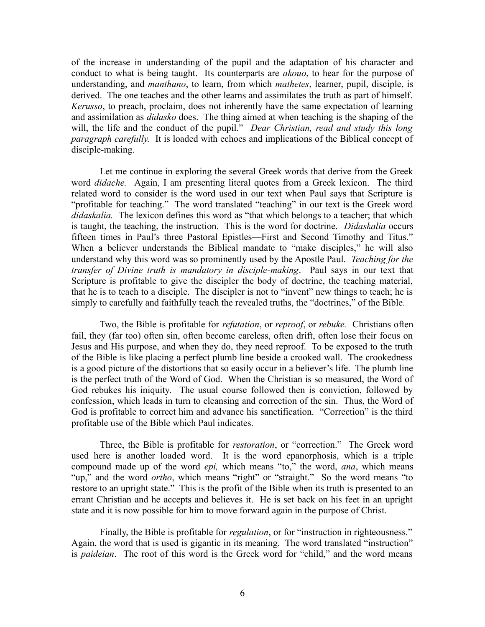of the increase in understanding of the pupil and the adaptation of his character and conduct to what is being taught. Its counterparts are *akouo*, to hear for the purpose of understanding, and *manthano*, to learn, from which *mathetes*, learner, pupil, disciple, is derived. The one teaches and the other learns and assimilates the truth as part of himself. *Kerusso*, to preach, proclaim, does not inherently have the same expectation of learning and assimilation as *didasko* does. The thing aimed at when teaching is the shaping of the will, the life and the conduct of the pupil." *Dear Christian, read and study this long paragraph carefully.* It is loaded with echoes and implications of the Biblical concept of disciple-making.

Let me continue in exploring the several Greek words that derive from the Greek word *didache.* Again, I am presenting literal quotes from a Greek lexicon. The third related word to consider is the word used in our text when Paul says that Scripture is "profitable for teaching." The word translated "teaching" in our text is the Greek word *didaskalia.* The lexicon defines this word as "that which belongs to a teacher; that which is taught, the teaching, the instruction. This is the word for doctrine. *Didaskalia* occurs fifteen times in Paul's three Pastoral Epistles—First and Second Timothy and Titus." When a believer understands the Biblical mandate to "make disciples," he will also understand why this word was so prominently used by the Apostle Paul. *Teaching for the transfer of Divine truth is mandatory in disciple-making*. Paul says in our text that Scripture is profitable to give the discipler the body of doctrine, the teaching material, that he is to teach to a disciple. The discipler is not to "invent" new things to teach; he is simply to carefully and faithfully teach the revealed truths, the "doctrines," of the Bible.

Two, the Bible is profitable for *refutation*, or *reproof*, or *rebuke.* Christians often fail, they (far too) often sin, often become careless, often drift, often lose their focus on Jesus and His purpose, and when they do, they need reproof. To be exposed to the truth of the Bible is like placing a perfect plumb line beside a crooked wall. The crookedness is a good picture of the distortions that so easily occur in a believer's life. The plumb line is the perfect truth of the Word of God. When the Christian is so measured, the Word of God rebukes his iniquity. The usual course followed then is conviction, followed by confession, which leads in turn to cleansing and correction of the sin. Thus, the Word of God is profitable to correct him and advance his sanctification. "Correction" is the third profitable use of the Bible which Paul indicates.

Three, the Bible is profitable for *restoration*, or "correction." The Greek word used here is another loaded word. It is the word epanorphosis, which is a triple compound made up of the word *epi,* which means "to," the word, *ana*, which means "up," and the word *ortho*, which means "right" or "straight." So the word means "to restore to an upright state." This is the profit of the Bible when its truth is presented to an errant Christian and he accepts and believes it. He is set back on his feet in an upright state and it is now possible for him to move forward again in the purpose of Christ.

Finally, the Bible is profitable for *regulation*, or for "instruction in righteousness." Again, the word that is used is gigantic in its meaning. The word translated "instruction" is *paideian*. The root of this word is the Greek word for "child," and the word means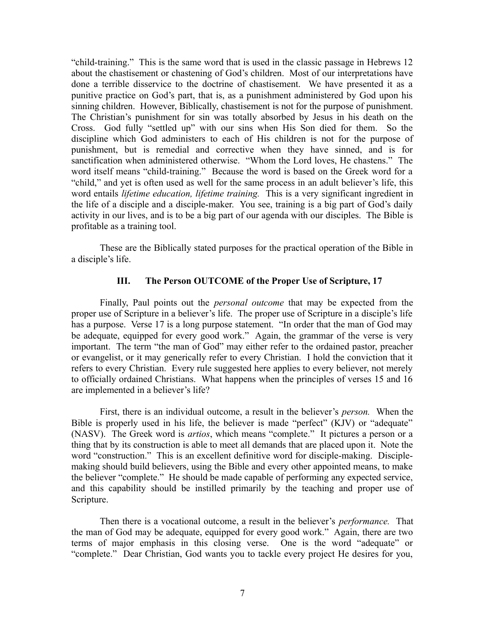"child-training." This is the same word that is used in the classic passage in Hebrews 12 about the chastisement or chastening of God's children. Most of our interpretations have done a terrible disservice to the doctrine of chastisement. We have presented it as a punitive practice on God's part, that is, as a punishment administered by God upon his sinning children. However, Biblically, chastisement is not for the purpose of punishment. The Christian's punishment for sin was totally absorbed by Jesus in his death on the Cross. God fully "settled up" with our sins when His Son died for them. So the discipline which God administers to each of His children is not for the purpose of punishment, but is remedial and corrective when they have sinned, and is for sanctification when administered otherwise. "Whom the Lord loves, He chastens." The word itself means "child-training." Because the word is based on the Greek word for a "child," and yet is often used as well for the same process in an adult believer's life, this word entails *lifetime education, lifetime training.* This is a very significant ingredient in the life of a disciple and a disciple-maker. You see, training is a big part of God's daily activity in our lives, and is to be a big part of our agenda with our disciples. The Bible is profitable as a training tool.

These are the Biblically stated purposes for the practical operation of the Bible in a disciple's life.

### **III. The Person OUTCOME of the Proper Use of Scripture, 17**

Finally, Paul points out the *personal outcome* that may be expected from the proper use of Scripture in a believer's life. The proper use of Scripture in a disciple's life has a purpose. Verse 17 is a long purpose statement. "In order that the man of God may be adequate, equipped for every good work." Again, the grammar of the verse is very important. The term "the man of God" may either refer to the ordained pastor, preacher or evangelist, or it may generically refer to every Christian. I hold the conviction that it refers to every Christian. Every rule suggested here applies to every believer, not merely to officially ordained Christians. What happens when the principles of verses 15 and 16 are implemented in a believer's life?

First, there is an individual outcome, a result in the believer's *person.* When the Bible is properly used in his life, the believer is made "perfect" (KJV) or "adequate" (NASV). The Greek word is *artios*, which means "complete." It pictures a person or a thing that by its construction is able to meet all demands that are placed upon it. Note the word "construction." This is an excellent definitive word for disciple-making. Disciplemaking should build believers, using the Bible and every other appointed means, to make the believer "complete." He should be made capable of performing any expected service, and this capability should be instilled primarily by the teaching and proper use of Scripture.

Then there is a vocational outcome, a result in the believer's *performance.* That the man of God may be adequate, equipped for every good work." Again, there are two terms of major emphasis in this closing verse. One is the word "adequate" or "complete." Dear Christian, God wants you to tackle every project He desires for you,